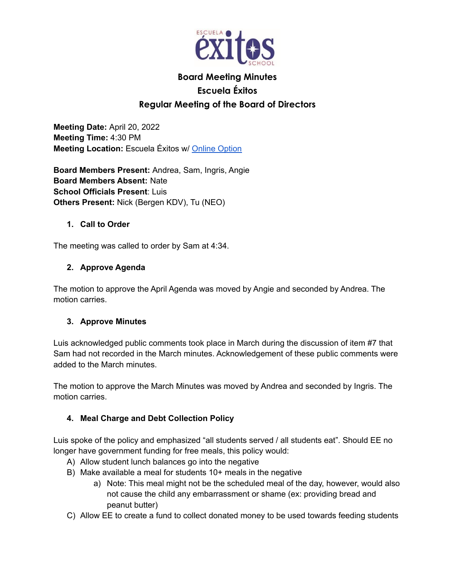

# **Board Meeting Minutes Escuela Éxitos Regular Meeting of the Board of Directors**

**Meeting Date:** April 20, 2022 **Meeting Time:** 4:30 PM **Meeting Location:** Escuela Éxitos w/ Online Option

**Board Members Present:** Andrea, Sam, Ingris, Angie **Board Members Absent:** Nate **School Officials Present**: Luis **Others Present:** Nick (Bergen KDV), Tu (NEO)

#### **1. Call to Order**

The meeting was called to order by Sam at 4:34.

## **2. Approve Agenda**

The motion to approve the April Agenda was moved by Angie and seconded by Andrea. The motion carries.

## **3. Approve Minutes**

Luis acknowledged public comments took place in March during the discussion of item #7 that Sam had not recorded in the March minutes. Acknowledgement of these public comments were added to the March minutes.

The motion to approve the March Minutes was moved by Andrea and seconded by Ingris. The motion carries.

## **4. Meal Charge and Debt Collection Policy**

Luis spoke of the policy and emphasized "all students served / all students eat". Should EE no longer have government funding for free meals, this policy would:

- A) Allow student lunch balances go into the negative
- B) Make available a meal for students 10+ meals in the negative
	- a) Note: This meal might not be the scheduled meal of the day, however, would also not cause the child any embarrassment or shame (ex: providing bread and peanut butter)
- C) Allow EE to create a fund to collect donated money to be used towards feeding students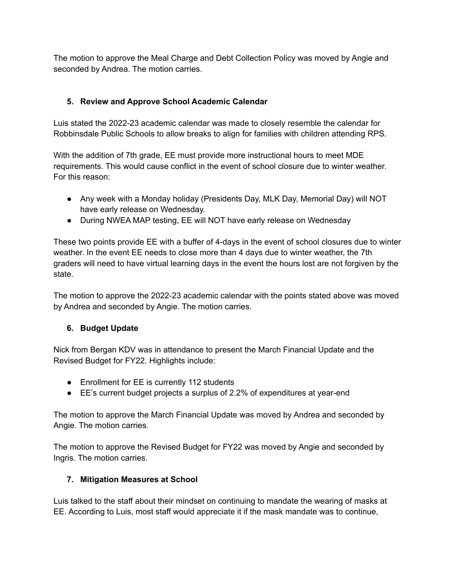The motion to approve the Meal Charge and Debt Collection Policy was moved by Angie and seconded by Andrea. The motion carries.

## **5. Review and Approve School Academic Calendar**

Luis stated the 2022-23 academic calendar was made to closely resemble the calendar for Robbinsdale Public Schools to allow breaks to align for families with children attending RPS.

With the addition of 7th grade, EE must provide more instructional hours to meet MDE requirements. This would cause conflict in the event of school closure due to winter weather. For this reason:

- Any week with a Monday holiday (Presidents Day, MLK Day, Memorial Day) will NOT have early release on Wednesday.
- During NWEA MAP testing, EE will NOT have early release on Wednesday

These two points provide EE with a buffer of 4-days in the event of school closures due to winter weather. In the event EE needs to close more than 4 days due to winter weather, the 7th graders will need to have virtual learning days in the event the hours lost are not forgiven by the state.

The motion to approve the 2022-23 academic calendar with the points stated above was moved by Andrea and seconded by Angie. The motion carries.

## **6. Budget Update**

Nick from Bergan KDV was in attendance to present the March Financial Update and the Revised Budget for FY22. Highlights include:

- Enrollment for EE is currently 112 students
- EE's current budget projects a surplus of 2.2% of expenditures at year-end

The motion to approve the March Financial Update was moved by Andrea and seconded by Angie. The motion carries.

The motion to approve the Revised Budget for FY22 was moved by Angie and seconded by Ingris. The motion carries.

## **7. Mitigation Measures at School**

Luis talked to the staff about their mindset on continuing to mandate the wearing of masks at EE. According to Luis, most staff would appreciate it if the mask mandate was to continue,